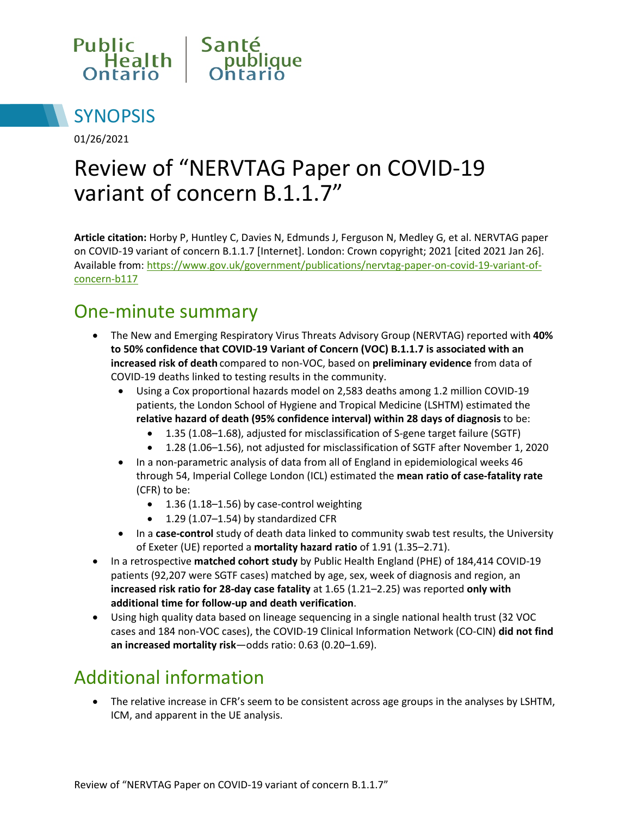



01/26/2021

# Review of "NERVTAG Paper on COVID-19 variant of concern B.1.1.7"

**Article citation:** Horby P, Huntley C, Davies N, Edmunds J, Ferguson N, Medley G, et al. NERVTAG paper on COVID-19 variant of concern B.1.1.7 [Internet]. London: Crown copyright; 2021 [cited 2021 Jan 26]. Available from: [https://www.gov.uk/government/publications/nervtag-paper-on-covid-19-variant-of](https://www.gov.uk/government/publications/nervtag-paper-on-covid-19-variant-of-concern-b117)[concern-b117](https://www.gov.uk/government/publications/nervtag-paper-on-covid-19-variant-of-concern-b117)

### One-minute summary

- The New and Emerging Respiratory Virus Threats Advisory Group (NERVTAG) reported with **40% to 50% confidence that COVID-19 Variant of Concern (VOC) B.1.1.7 is associated with an increased risk of death** compared to non-VOC, based on **preliminary evidence** from data of COVID-19 deaths linked to testing results in the community.
	- Using a Cox proportional hazards model on 2,583 deaths among 1.2 million COVID-19 patients, the London School of Hygiene and Tropical Medicine (LSHTM) estimated the **relative hazard of death (95% confidence interval) within 28 days of diagnosis** to be:
		- 1.35 (1.08–1.68), adjusted for misclassification of S-gene target failure (SGTF)
		- 1.28 (1.06–1.56), not adjusted for misclassification of SGTF after November 1, 2020
	- In a non-parametric analysis of data from all of England in epidemiological weeks 46 through 54, Imperial College London (ICL) estimated the **mean ratio of case-fatality rate** (CFR) to be:
		- 1.36 (1.18–1.56) by case-control weighting
		- 1.29 (1.07–1.54) by standardized CFR
	- In a **case-control** study of death data linked to community swab test results, the University of Exeter (UE) reported a **mortality hazard ratio** of 1.91 (1.35–2.71).
- In a retrospective **matched cohort study** by Public Health England (PHE) of 184,414 COVID-19 patients (92,207 were SGTF cases) matched by age, sex, week of diagnosis and region, an **increased risk ratio for 28-day case fatality** at 1.65 (1.21–2.25) was reported **only with additional time for follow-up and death verification**.
- Using high quality data based on lineage sequencing in a single national health trust (32 VOC cases and 184 non-VOC cases), the COVID-19 Clinical Information Network (CO-CIN) **did not find an increased mortality risk**—odds ratio: 0.63 (0.20–1.69).

## Additional information

• The relative increase in CFR's seem to be consistent across age groups in the analyses by LSHTM, ICM, and apparent in the UE analysis.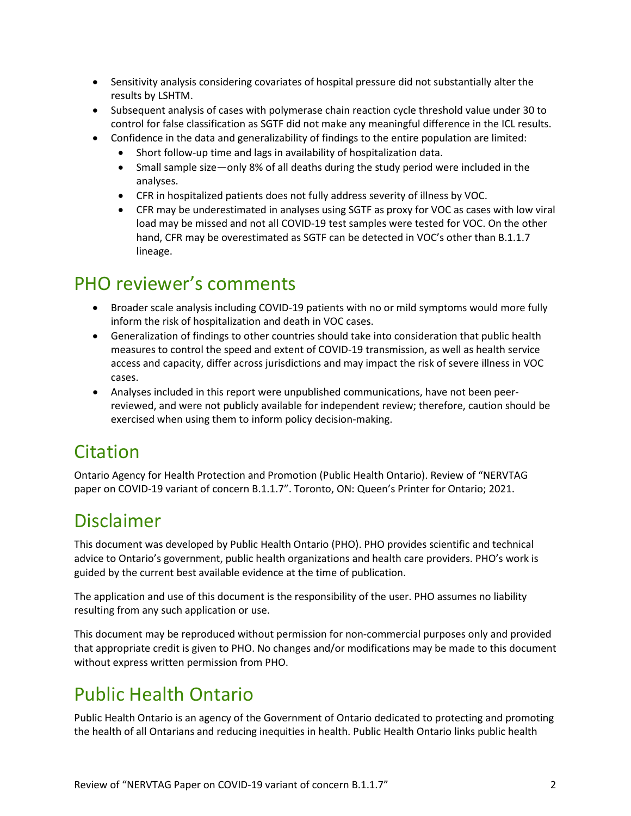- Sensitivity analysis considering covariates of hospital pressure did not substantially alter the results by LSHTM.
- Subsequent analysis of cases with polymerase chain reaction cycle threshold value under 30 to control for false classification as SGTF did not make any meaningful difference in the ICL results.
- Confidence in the data and generalizability of findings to the entire population are limited:
	- Short follow-up time and lags in availability of hospitalization data.
	- Small sample size—only 8% of all deaths during the study period were included in the analyses.
	- CFR in hospitalized patients does not fully address severity of illness by VOC.
	- CFR may be underestimated in analyses using SGTF as proxy for VOC as cases with low viral load may be missed and not all COVID-19 test samples were tested for VOC. On the other hand, CFR may be overestimated as SGTF can be detected in VOC's other than B.1.1.7 lineage.

## PHO reviewer's comments

- Broader scale analysis including COVID-19 patients with no or mild symptoms would more fully inform the risk of hospitalization and death in VOC cases.
- Generalization of findings to other countries should take into consideration that public health measures to control the speed and extent of COVID-19 transmission, as well as health service access and capacity, differ across jurisdictions and may impact the risk of severe illness in VOC cases.
- Analyses included in this report were unpublished communications, have not been peerreviewed, and were not publicly available for independent review; therefore, caution should be exercised when using them to inform policy decision-making.

### **Citation**

Ontario Agency for Health Protection and Promotion (Public Health Ontario). Review of "NERVTAG paper on COVID-19 variant of concern B.1.1.7". Toronto, ON: Queen's Printer for Ontario; 2021.

### Disclaimer

This document was developed by Public Health Ontario (PHO). PHO provides scientific and technical advice to Ontario's government, public health organizations and health care providers. PHO's work is guided by the current best available evidence at the time of publication.

The application and use of this document is the responsibility of the user. PHO assumes no liability resulting from any such application or use.

This document may be reproduced without permission for non-commercial purposes only and provided that appropriate credit is given to PHO. No changes and/or modifications may be made to this document without express written permission from PHO.

## Public Health Ontario

Public Health Ontario is an agency of the Government of Ontario dedicated to protecting and promoting the health of all Ontarians and reducing inequities in health. Public Health Ontario links public health